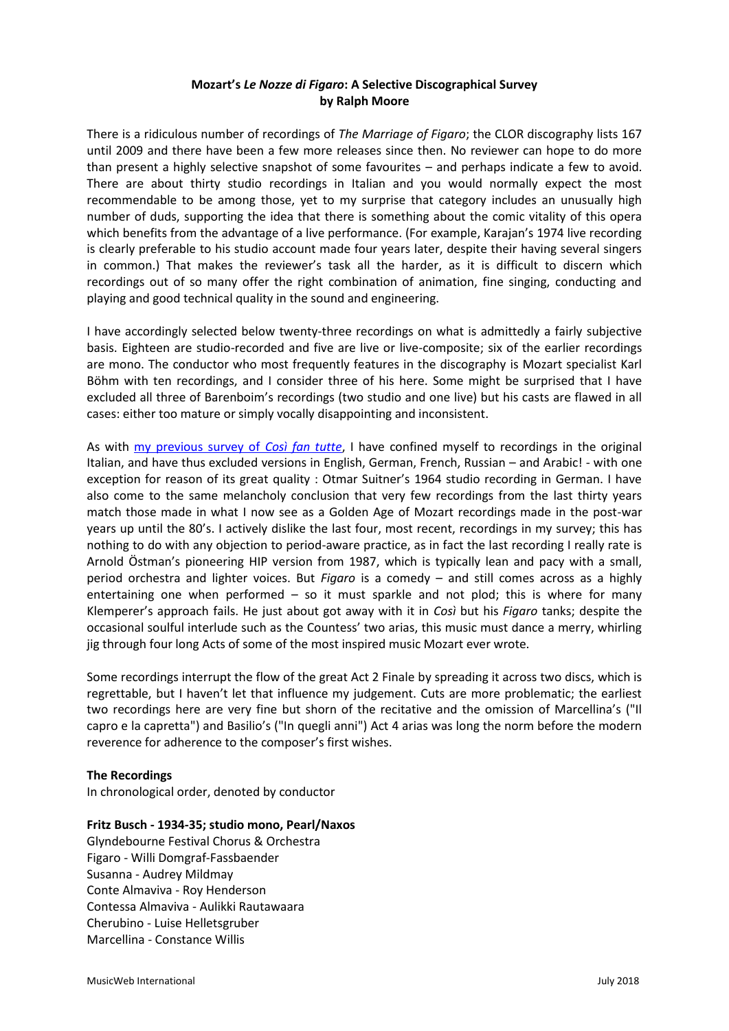# **Mozart's** *Le Nozze di Figaro***: A Selective Discographical Survey by Ralph Moore**

There is a ridiculous number of recordings of *The Marriage of Figaro*; the CLOR discography lists 167 until 2009 and there have been a few more releases since then. No reviewer can hope to do more than present a highly selective snapshot of some favourites – and perhaps indicate a few to avoid. There are about thirty studio recordings in Italian and you would normally expect the most recommendable to be among those, yet to my surprise that category includes an unusually high number of duds, supporting the idea that there is something about the comic vitality of this opera which benefits from the advantage of a live performance. (For example, Karajan's 1974 live recording is clearly preferable to his studio account made four years later, despite their having several singers in common.) That makes the reviewer's task all the harder, as it is difficult to discern which recordings out of so many offer the right combination of animation, fine singing, conducting and playing and good technical quality in the sound and engineering.

I have accordingly selected below twenty-three recordings on what is admittedly a fairly subjective basis. Eighteen are studio-recorded and five are live or live-composite; six of the earlier recordings are mono. The conductor who most frequently features in the discography is Mozart specialist Karl Böhm with ten recordings, and I consider three of his here. Some might be surprised that I have excluded all three of Barenboim's recordings (two studio and one live) but his casts are flawed in all cases: either too mature or simply vocally disappointing and inconsistent.

As with [my previous survey of](http://musicweb-international.com/classrev/2018/Jul/Mozart_Cosi_survey.pdf) *[Così fan tutte](http://musicweb-international.com/classrev/2018/Jul/Mozart_Cosi_survey.pdf)*, I have confined myself to recordings in the original Italian, and have thus excluded versions in English, German, French, Russian – and Arabic! - with one exception for reason of its great quality : Otmar Suitner's 1964 studio recording in German. I have also come to the same melancholy conclusion that very few recordings from the last thirty years match those made in what I now see as a Golden Age of Mozart recordings made in the post-war years up until the 80's. I actively dislike the last four, most recent, recordings in my survey; this has nothing to do with any objection to period-aware practice, as in fact the last recording I really rate is Arnold Östman's pioneering HIP version from 1987, which is typically lean and pacy with a small, period orchestra and lighter voices. But *Figaro* is a comedy – and still comes across as a highly entertaining one when performed  $-$  so it must sparkle and not plod; this is where for many Klemperer's approach fails. He just about got away with it in *Così* but his *Figaro* tanks; despite the occasional soulful interlude such as the Countess' two arias, this music must dance a merry, whirling jig through four long Acts of some of the most inspired music Mozart ever wrote.

Some recordings interrupt the flow of the great Act 2 Finale by spreading it across two discs, which is regrettable, but I haven't let that influence my judgement. Cuts are more problematic; the earliest two recordings here are very fine but shorn of the recitative and the omission of Marcellina's ("Il capro e la capretta") and Basilio's ("In quegli anni") Act 4 arias was long the norm before the modern reverence for adherence to the composer's first wishes.

### **The Recordings**

In chronological order, denoted by conductor

### **Fritz Busch - 1934-35; studio mono, Pearl/Naxos**

Glyndebourne Festival Chorus & Orchestra Figaro - Willi Domgraf-Fassbaender Susanna - Audrey Mildmay Conte Almaviva - Roy Henderson Contessa Almaviva - Aulikki Rautawaara Cherubino - Luise Helletsgruber Marcellina - Constance Willis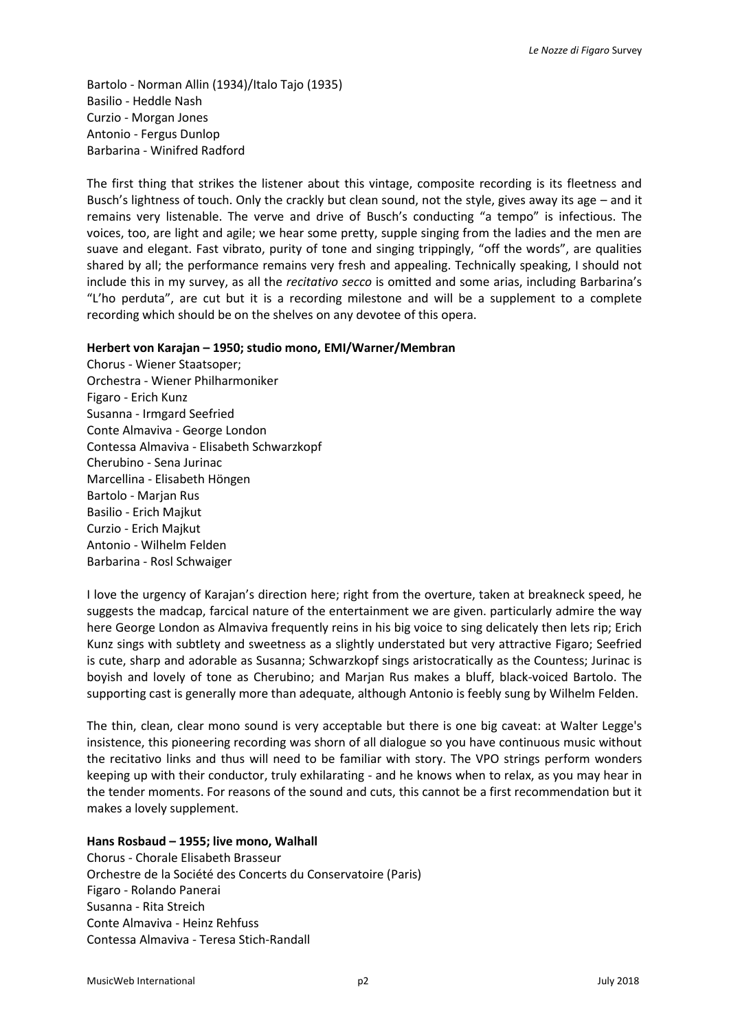Bartolo - Norman Allin (1934)/Italo Tajo (1935) Basilio - Heddle Nash Curzio - Morgan Jones Antonio - Fergus Dunlop Barbarina - Winifred Radford

The first thing that strikes the listener about this vintage, composite recording is its fleetness and Busch's lightness of touch. Only the crackly but clean sound, not the style, gives away its age – and it remains very listenable. The verve and drive of Busch's conducting "a tempo" is infectious. The voices, too, are light and agile; we hear some pretty, supple singing from the ladies and the men are suave and elegant. Fast vibrato, purity of tone and singing trippingly, "off the words", are qualities shared by all; the performance remains very fresh and appealing. Technically speaking, I should not include this in my survey, as all the *recitativo secco* is omitted and some arias, including Barbarina's "L'ho perduta", are cut but it is a recording milestone and will be a supplement to a complete recording which should be on the shelves on any devotee of this opera.

### **Herbert von Karajan – 1950; studio mono, EMI/Warner/Membran**

Chorus - Wiener Staatsoper; Orchestra - Wiener Philharmoniker Figaro - Erich Kunz Susanna - Irmgard Seefried Conte Almaviva - George London Contessa Almaviva - Elisabeth Schwarzkopf Cherubino - Sena Jurinac Marcellina - Elisabeth Höngen Bartolo - Marjan Rus Basilio - Erich Majkut Curzio - Erich Majkut Antonio - Wilhelm Felden Barbarina - Rosl Schwaiger

I love the urgency of Karajan's direction here; right from the overture, taken at breakneck speed, he suggests the madcap, farcical nature of the entertainment we are given. particularly admire the way here George London as Almaviva frequently reins in his big voice to sing delicately then lets rip; Erich Kunz sings with subtlety and sweetness as a slightly understated but very attractive Figaro; Seefried is cute, sharp and adorable as Susanna; Schwarzkopf sings aristocratically as the Countess; Jurinac is boyish and lovely of tone as Cherubino; and Marjan Rus makes a bluff, black-voiced Bartolo. The supporting cast is generally more than adequate, although Antonio is feebly sung by Wilhelm Felden.

The thin, clean, clear mono sound is very acceptable but there is one big caveat: at Walter Legge's insistence, this pioneering recording was shorn of all dialogue so you have continuous music without the recitativo links and thus will need to be familiar with story. The VPO strings perform wonders keeping up with their conductor, truly exhilarating - and he knows when to relax, as you may hear in the tender moments. For reasons of the sound and cuts, this cannot be a first recommendation but it makes a lovely supplement.

### **Hans Rosbaud – 1955; live mono, Walhall**

Chorus - Chorale Elisabeth Brasseur Orchestre de la Société des Concerts du Conservatoire (Paris) Figaro - Rolando Panerai Susanna - Rita Streich Conte Almaviva - Heinz Rehfuss Contessa Almaviva - Teresa Stich-Randall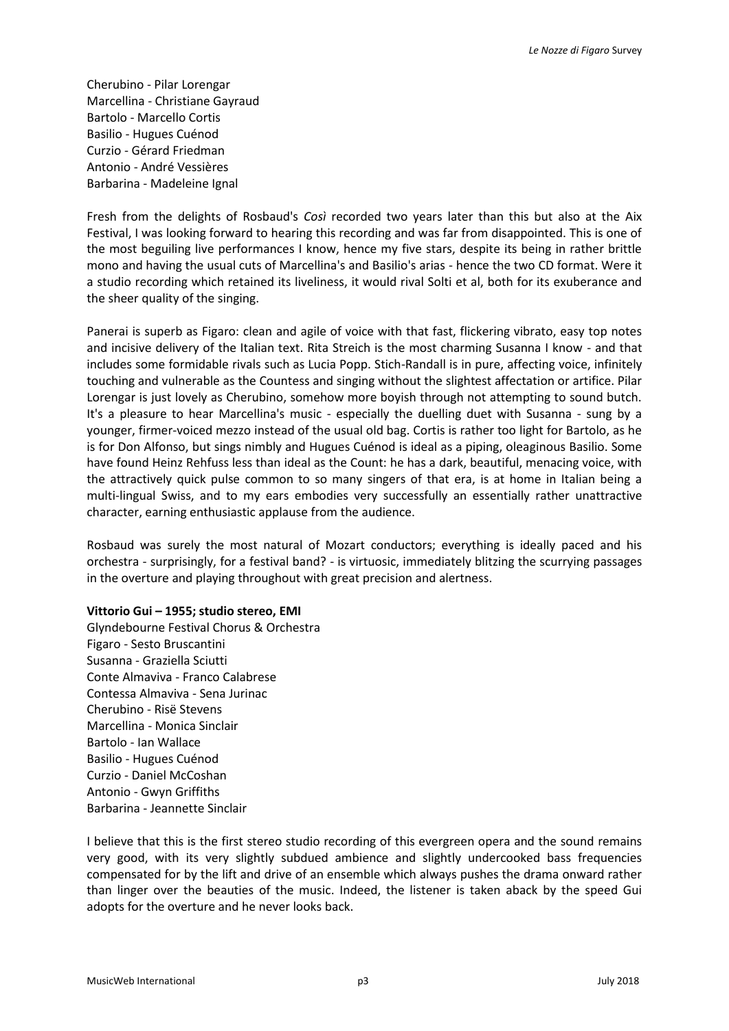Cherubino - Pilar Lorengar Marcellina - Christiane Gayraud Bartolo - Marcello Cortis Basilio - Hugues Cuénod Curzio - Gérard Friedman Antonio - André Vessières Barbarina - Madeleine Ignal

Fresh from the delights of Rosbaud's *Così* recorded two years later than this but also at the Aix Festival, I was looking forward to hearing this recording and was far from disappointed. This is one of the most beguiling live performances I know, hence my five stars, despite its being in rather brittle mono and having the usual cuts of Marcellina's and Basilio's arias - hence the two CD format. Were it a studio recording which retained its liveliness, it would rival Solti et al, both for its exuberance and the sheer quality of the singing.

Panerai is superb as Figaro: clean and agile of voice with that fast, flickering vibrato, easy top notes and incisive delivery of the Italian text. Rita Streich is the most charming Susanna I know - and that includes some formidable rivals such as Lucia Popp. Stich-Randall is in pure, affecting voice, infinitely touching and vulnerable as the Countess and singing without the slightest affectation or artifice. Pilar Lorengar is just lovely as Cherubino, somehow more boyish through not attempting to sound butch. It's a pleasure to hear Marcellina's music - especially the duelling duet with Susanna - sung by a younger, firmer-voiced mezzo instead of the usual old bag. Cortis is rather too light for Bartolo, as he is for Don Alfonso, but sings nimbly and Hugues Cuénod is ideal as a piping, oleaginous Basilio. Some have found Heinz Rehfuss less than ideal as the Count: he has a dark, beautiful, menacing voice, with the attractively quick pulse common to so many singers of that era, is at home in Italian being a multi-lingual Swiss, and to my ears embodies very successfully an essentially rather unattractive character, earning enthusiastic applause from the audience.

Rosbaud was surely the most natural of Mozart conductors; everything is ideally paced and his orchestra - surprisingly, for a festival band? - is virtuosic, immediately blitzing the scurrying passages in the overture and playing throughout with great precision and alertness.

### **Vittorio Gui – 1955; studio stereo, EMI**

Glyndebourne Festival Chorus & Orchestra Figaro - Sesto Bruscantini Susanna - Graziella Sciutti Conte Almaviva - Franco Calabrese Contessa Almaviva - Sena Jurinac Cherubino - Risë Stevens Marcellina - Monica Sinclair Bartolo - Ian Wallace Basilio - Hugues Cuénod Curzio - Daniel McCoshan Antonio - Gwyn Griffiths Barbarina - Jeannette Sinclair

I believe that this is the first stereo studio recording of this evergreen opera and the sound remains very good, with its very slightly subdued ambience and slightly undercooked bass frequencies compensated for by the lift and drive of an ensemble which always pushes the drama onward rather than linger over the beauties of the music. Indeed, the listener is taken aback by the speed Gui adopts for the overture and he never looks back.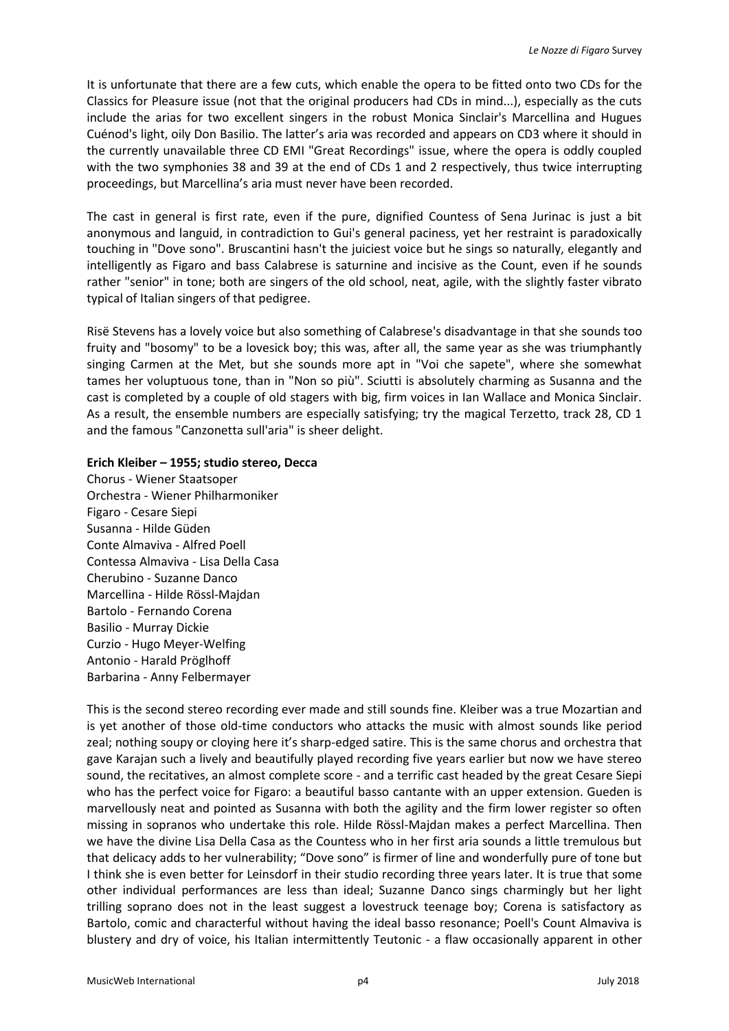It is unfortunate that there are a few cuts, which enable the opera to be fitted onto two CDs for the Classics for Pleasure issue (not that the original producers had CDs in mind...), especially as the cuts include the arias for two excellent singers in the robust Monica Sinclair's Marcellina and Hugues Cuénod's light, oily Don Basilio. The latter's aria was recorded and appears on CD3 where it should in the currently unavailable three CD EMI "Great Recordings" issue, where the opera is oddly coupled with the two symphonies 38 and 39 at the end of CDs 1 and 2 respectively, thus twice interrupting proceedings, but Marcellina's aria must never have been recorded.

The cast in general is first rate, even if the pure, dignified Countess of Sena Jurinac is just a bit anonymous and languid, in contradiction to Gui's general paciness, yet her restraint is paradoxically touching in "Dove sono". Bruscantini hasn't the juiciest voice but he sings so naturally, elegantly and intelligently as Figaro and bass Calabrese is saturnine and incisive as the Count, even if he sounds rather "senior" in tone; both are singers of the old school, neat, agile, with the slightly faster vibrato typical of Italian singers of that pedigree.

Risë Stevens has a lovely voice but also something of Calabrese's disadvantage in that she sounds too fruity and "bosomy" to be a lovesick boy; this was, after all, the same year as she was triumphantly singing Carmen at the Met, but she sounds more apt in "Voi che sapete", where she somewhat tames her voluptuous tone, than in "Non so più". Sciutti is absolutely charming as Susanna and the cast is completed by a couple of old stagers with big, firm voices in Ian Wallace and Monica Sinclair. As a result, the ensemble numbers are especially satisfying; try the magical Terzetto, track 28, CD 1 and the famous "Canzonetta sull'aria" is sheer delight.

#### **Erich Kleiber – 1955; studio stereo, Decca**

Chorus - Wiener Staatsoper Orchestra - Wiener Philharmoniker Figaro - Cesare Siepi Susanna - Hilde Güden Conte Almaviva - Alfred Poell Contessa Almaviva - Lisa Della Casa Cherubino - Suzanne Danco Marcellina - Hilde Rössl-Majdan Bartolo - Fernando Corena Basilio - Murray Dickie Curzio - Hugo Meyer-Welfing Antonio - Harald Pröglhoff Barbarina - Anny Felbermayer

This is the second stereo recording ever made and still sounds fine. Kleiber was a true Mozartian and is yet another of those old-time conductors who attacks the music with almost sounds like period zeal; nothing soupy or cloying here it's sharp-edged satire. This is the same chorus and orchestra that gave Karajan such a lively and beautifully played recording five years earlier but now we have stereo sound, the recitatives, an almost complete score - and a terrific cast headed by the great Cesare Siepi who has the perfect voice for Figaro: a beautiful basso cantante with an upper extension. Gueden is marvellously neat and pointed as Susanna with both the agility and the firm lower register so often missing in sopranos who undertake this role. Hilde Rössl-Majdan makes a perfect Marcellina. Then we have the divine Lisa Della Casa as the Countess who in her first aria sounds a little tremulous but that delicacy adds to her vulnerability; "Dove sono" is firmer of line and wonderfully pure of tone but I think she is even better for Leinsdorf in their studio recording three years later. It is true that some other individual performances are less than ideal; Suzanne Danco sings charmingly but her light trilling soprano does not in the least suggest a lovestruck teenage boy; Corena is satisfactory as Bartolo, comic and characterful without having the ideal basso resonance; Poell's Count Almaviva is blustery and dry of voice, his Italian intermittently Teutonic - a flaw occasionally apparent in other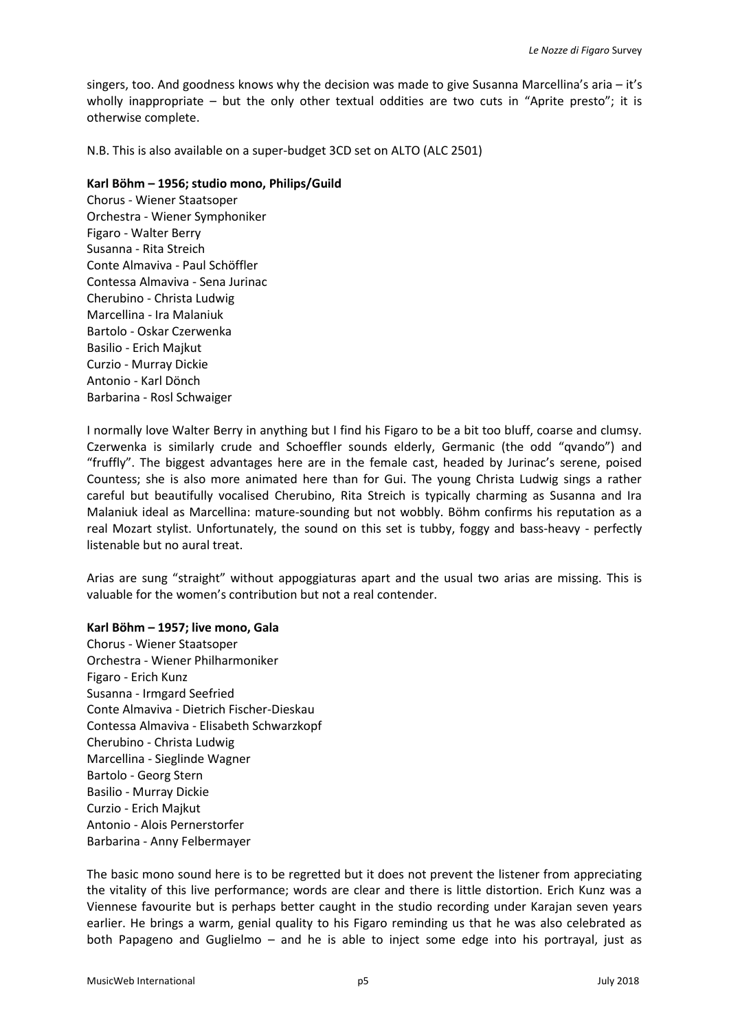singers, too. And goodness knows why the decision was made to give Susanna Marcellina's aria – it's wholly inappropriate – but the only other textual oddities are two cuts in "Aprite presto"; it is otherwise complete.

N.B. This is also available on a super-budget 3CD set on ALTO (ALC 2501)

### **Karl Böhm – 1956; studio mono, Philips/Guild**

Chorus - Wiener Staatsoper Orchestra - Wiener Symphoniker Figaro - Walter Berry Susanna - Rita Streich Conte Almaviva - Paul Schöffler Contessa Almaviva - Sena Jurinac Cherubino - Christa Ludwig Marcellina - Ira Malaniuk Bartolo - Oskar Czerwenka Basilio - Erich Majkut Curzio - Murray Dickie Antonio - Karl Dönch Barbarina - Rosl Schwaiger

I normally love Walter Berry in anything but I find his Figaro to be a bit too bluff, coarse and clumsy. Czerwenka is similarly crude and Schoeffler sounds elderly, Germanic (the odd "qvando") and "fruffly". The biggest advantages here are in the female cast, headed by Jurinac's serene, poised Countess; she is also more animated here than for Gui. The young Christa Ludwig sings a rather careful but beautifully vocalised Cherubino, Rita Streich is typically charming as Susanna and Ira Malaniuk ideal as Marcellina: mature-sounding but not wobbly. Böhm confirms his reputation as a real Mozart stylist. Unfortunately, the sound on this set is tubby, foggy and bass-heavy - perfectly listenable but no aural treat.

Arias are sung "straight" without appoggiaturas apart and the usual two arias are missing. This is valuable for the women's contribution but not a real contender.

### **Karl Böhm – 1957; live mono, Gala**

Chorus - Wiener Staatsoper Orchestra - Wiener Philharmoniker Figaro - Erich Kunz Susanna - Irmgard Seefried Conte Almaviva - Dietrich Fischer-Dieskau Contessa Almaviva - Elisabeth Schwarzkopf Cherubino - Christa Ludwig Marcellina - Sieglinde Wagner Bartolo - Georg Stern Basilio - Murray Dickie Curzio - Erich Majkut Antonio - Alois Pernerstorfer Barbarina - Anny Felbermayer

The basic mono sound here is to be regretted but it does not prevent the listener from appreciating the vitality of this live performance; words are clear and there is little distortion. Erich Kunz was a Viennese favourite but is perhaps better caught in the studio recording under Karajan seven years earlier. He brings a warm, genial quality to his Figaro reminding us that he was also celebrated as both Papageno and Guglielmo – and he is able to inject some edge into his portrayal, just as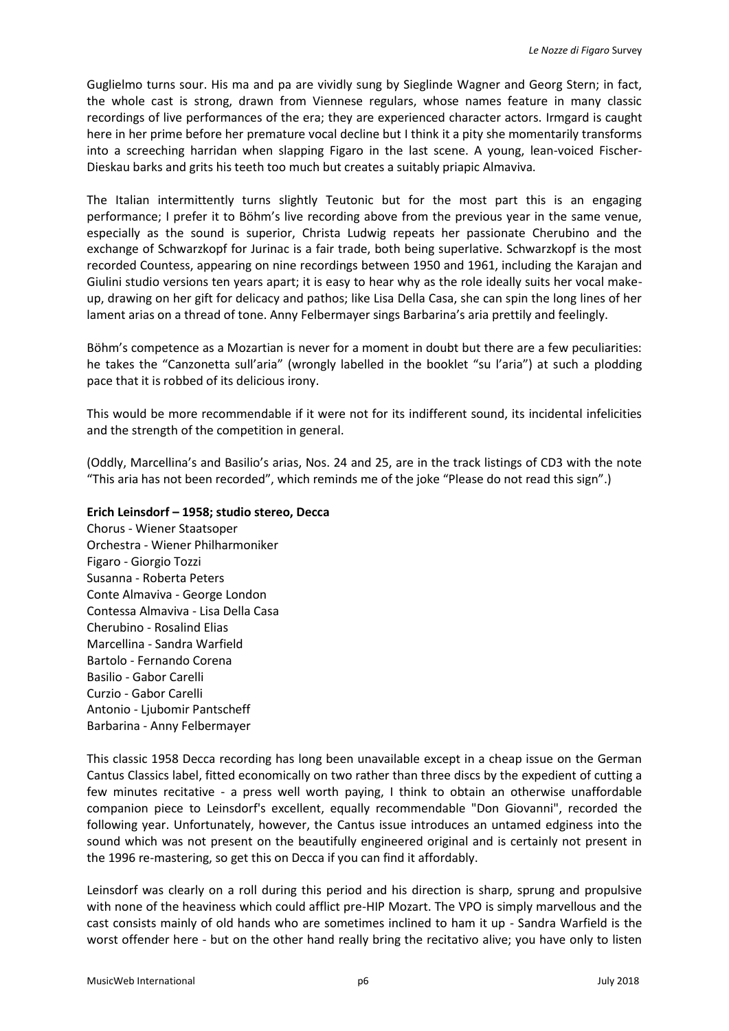Guglielmo turns sour. His ma and pa are vividly sung by Sieglinde Wagner and Georg Stern; in fact, the whole cast is strong, drawn from Viennese regulars, whose names feature in many classic recordings of live performances of the era; they are experienced character actors. Irmgard is caught here in her prime before her premature vocal decline but I think it a pity she momentarily transforms into a screeching harridan when slapping Figaro in the last scene. A young, lean-voiced Fischer-Dieskau barks and grits his teeth too much but creates a suitably priapic Almaviva.

The Italian intermittently turns slightly Teutonic but for the most part this is an engaging performance; I prefer it to Böhm's live recording above from the previous year in the same venue, especially as the sound is superior, Christa Ludwig repeats her passionate Cherubino and the exchange of Schwarzkopf for Jurinac is a fair trade, both being superlative. Schwarzkopf is the most recorded Countess, appearing on nine recordings between 1950 and 1961, including the Karajan and Giulini studio versions ten years apart; it is easy to hear why as the role ideally suits her vocal makeup, drawing on her gift for delicacy and pathos; like Lisa Della Casa, she can spin the long lines of her lament arias on a thread of tone. Anny Felbermayer sings Barbarina's aria prettily and feelingly.

Böhm's competence as a Mozartian is never for a moment in doubt but there are a few peculiarities: he takes the "Canzonetta sull'aria" (wrongly labelled in the booklet "su l'aria") at such a plodding pace that it is robbed of its delicious irony.

This would be more recommendable if it were not for its indifferent sound, its incidental infelicities and the strength of the competition in general.

(Oddly, Marcellina's and Basilio's arias, Nos. 24 and 25, are in the track listings of CD3 with the note "This aria has not been recorded", which reminds me of the joke "Please do not read this sign".)

## **Erich Leinsdorf – 1958; studio stereo, Decca**

Chorus - Wiener Staatsoper Orchestra - Wiener Philharmoniker Figaro - Giorgio Tozzi Susanna - Roberta Peters Conte Almaviva - George London Contessa Almaviva - Lisa Della Casa Cherubino - Rosalind Elias Marcellina - Sandra Warfield Bartolo - Fernando Corena Basilio - Gabor Carelli Curzio - Gabor Carelli Antonio - Ljubomir Pantscheff Barbarina - Anny Felbermayer

This classic 1958 Decca recording has long been unavailable except in a cheap issue on the German Cantus Classics label, fitted economically on two rather than three discs by the expedient of cutting a few minutes recitative - a press well worth paying, I think to obtain an otherwise unaffordable companion piece to Leinsdorf's excellent, equally recommendable "Don Giovanni", recorded the following year. Unfortunately, however, the Cantus issue introduces an untamed edginess into the sound which was not present on the beautifully engineered original and is certainly not present in the 1996 re-mastering, so get this on Decca if you can find it affordably.

Leinsdorf was clearly on a roll during this period and his direction is sharp, sprung and propulsive with none of the heaviness which could afflict pre-HIP Mozart. The VPO is simply marvellous and the cast consists mainly of old hands who are sometimes inclined to ham it up - Sandra Warfield is the worst offender here - but on the other hand really bring the recitativo alive; you have only to listen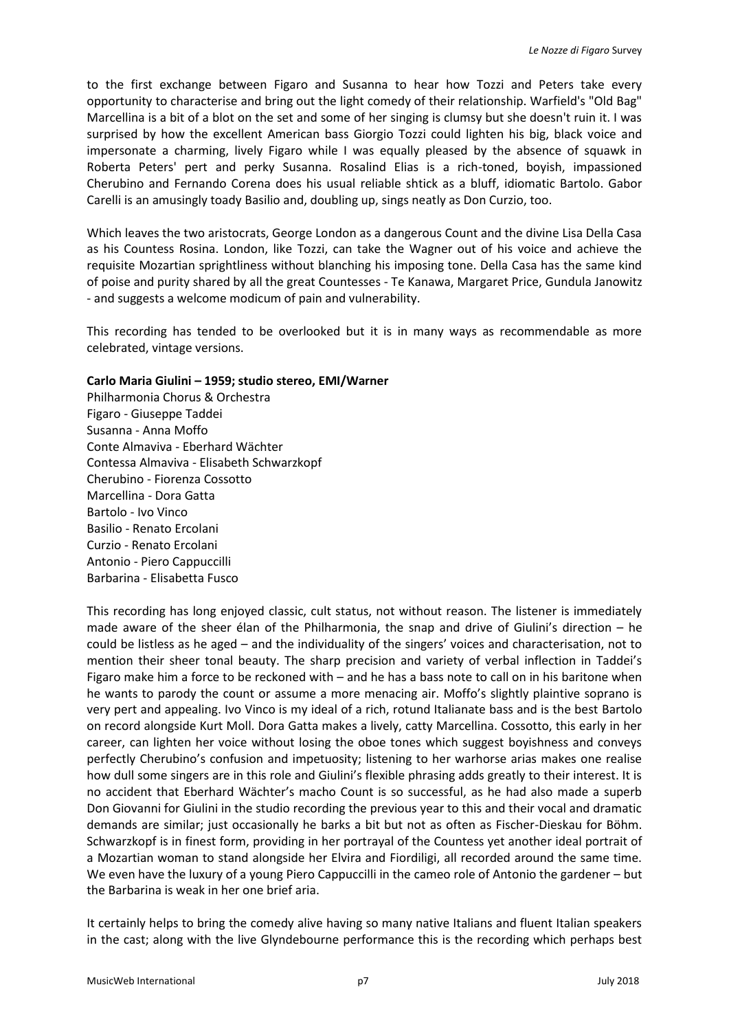to the first exchange between Figaro and Susanna to hear how Tozzi and Peters take every opportunity to characterise and bring out the light comedy of their relationship. Warfield's "Old Bag" Marcellina is a bit of a blot on the set and some of her singing is clumsy but she doesn't ruin it. I was surprised by how the excellent American bass Giorgio Tozzi could lighten his big, black voice and impersonate a charming, lively Figaro while I was equally pleased by the absence of squawk in Roberta Peters' pert and perky Susanna. Rosalind Elias is a rich-toned, boyish, impassioned Cherubino and Fernando Corena does his usual reliable shtick as a bluff, idiomatic Bartolo. Gabor Carelli is an amusingly toady Basilio and, doubling up, sings neatly as Don Curzio, too.

Which leaves the two aristocrats, George London as a dangerous Count and the divine Lisa Della Casa as his Countess Rosina. London, like Tozzi, can take the Wagner out of his voice and achieve the requisite Mozartian sprightliness without blanching his imposing tone. Della Casa has the same kind of poise and purity shared by all the great Countesses - Te Kanawa, Margaret Price, Gundula Janowitz - and suggests a welcome modicum of pain and vulnerability.

This recording has tended to be overlooked but it is in many ways as recommendable as more celebrated, vintage versions.

#### **Carlo Maria Giulini – 1959; studio stereo, EMI/Warner**

Philharmonia Chorus & Orchestra Figaro - Giuseppe Taddei Susanna - Anna Moffo Conte Almaviva - Eberhard Wächter Contessa Almaviva - Elisabeth Schwarzkopf Cherubino - Fiorenza Cossotto Marcellina - Dora Gatta Bartolo - Ivo Vinco Basilio - Renato Ercolani Curzio - Renato Ercolani Antonio - Piero Cappuccilli Barbarina - Elisabetta Fusco

This recording has long enjoyed classic, cult status, not without reason. The listener is immediately made aware of the sheer élan of the Philharmonia, the snap and drive of Giulini's direction – he could be listless as he aged – and the individuality of the singers' voices and characterisation, not to mention their sheer tonal beauty. The sharp precision and variety of verbal inflection in Taddei's Figaro make him a force to be reckoned with – and he has a bass note to call on in his baritone when he wants to parody the count or assume a more menacing air. Moffo's slightly plaintive soprano is very pert and appealing. Ivo Vinco is my ideal of a rich, rotund Italianate bass and is the best Bartolo on record alongside Kurt Moll. Dora Gatta makes a lively, catty Marcellina. Cossotto, this early in her career, can lighten her voice without losing the oboe tones which suggest boyishness and conveys perfectly Cherubino's confusion and impetuosity; listening to her warhorse arias makes one realise how dull some singers are in this role and Giulini's flexible phrasing adds greatly to their interest. It is no accident that Eberhard Wächter's macho Count is so successful, as he had also made a superb Don Giovanni for Giulini in the studio recording the previous year to this and their vocal and dramatic demands are similar; just occasionally he barks a bit but not as often as Fischer-Dieskau for Böhm. Schwarzkopf is in finest form, providing in her portrayal of the Countess yet another ideal portrait of a Mozartian woman to stand alongside her Elvira and Fiordiligi, all recorded around the same time. We even have the luxury of a young Piero Cappuccilli in the cameo role of Antonio the gardener – but the Barbarina is weak in her one brief aria.

It certainly helps to bring the comedy alive having so many native Italians and fluent Italian speakers in the cast; along with the live Glyndebourne performance this is the recording which perhaps best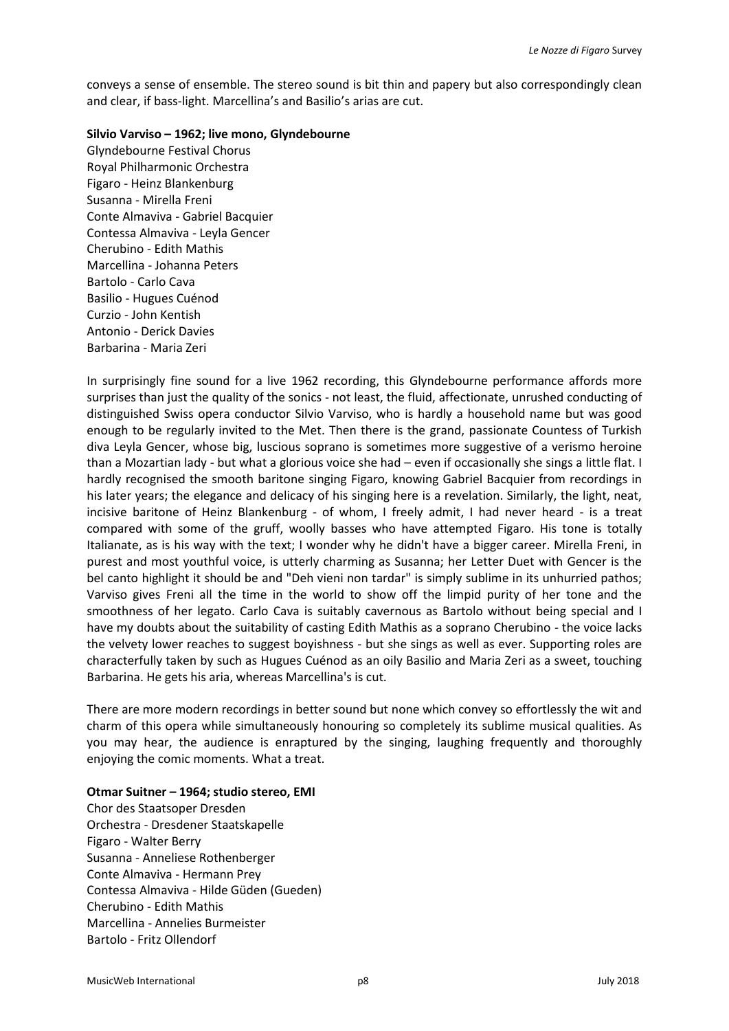conveys a sense of ensemble. The stereo sound is bit thin and papery but also correspondingly clean and clear, if bass-light. Marcellina's and Basilio's arias are cut.

#### **Silvio Varviso – 1962; live mono, Glyndebourne**

Glyndebourne Festival Chorus Royal Philharmonic Orchestra Figaro - Heinz Blankenburg Susanna - Mirella Freni Conte Almaviva - Gabriel Bacquier Contessa Almaviva - Leyla Gencer Cherubino - Edith Mathis Marcellina - Johanna Peters Bartolo - Carlo Cava Basilio - Hugues Cuénod Curzio - John Kentish Antonio - Derick Davies Barbarina - Maria Zeri

In surprisingly fine sound for a live 1962 recording, this Glyndebourne performance affords more surprises than just the quality of the sonics - not least, the fluid, affectionate, unrushed conducting of distinguished Swiss opera conductor Silvio Varviso, who is hardly a household name but was good enough to be regularly invited to the Met. Then there is the grand, passionate Countess of Turkish diva Leyla Gencer, whose big, luscious soprano is sometimes more suggestive of a verismo heroine than a Mozartian lady - but what a glorious voice she had – even if occasionally she sings a little flat. I hardly recognised the smooth baritone singing Figaro, knowing Gabriel Bacquier from recordings in his later years; the elegance and delicacy of his singing here is a revelation. Similarly, the light, neat, incisive baritone of Heinz Blankenburg - of whom, I freely admit, I had never heard - is a treat compared with some of the gruff, woolly basses who have attempted Figaro. His tone is totally Italianate, as is his way with the text; I wonder why he didn't have a bigger career. Mirella Freni, in purest and most youthful voice, is utterly charming as Susanna; her Letter Duet with Gencer is the bel canto highlight it should be and "Deh vieni non tardar" is simply sublime in its unhurried pathos; Varviso gives Freni all the time in the world to show off the limpid purity of her tone and the smoothness of her legato. Carlo Cava is suitably cavernous as Bartolo without being special and I have my doubts about the suitability of casting Edith Mathis as a soprano Cherubino - the voice lacks the velvety lower reaches to suggest boyishness - but she sings as well as ever. Supporting roles are characterfully taken by such as Hugues Cuénod as an oily Basilio and Maria Zeri as a sweet, touching Barbarina. He gets his aria, whereas Marcellina's is cut.

There are more modern recordings in better sound but none which convey so effortlessly the wit and charm of this opera while simultaneously honouring so completely its sublime musical qualities. As you may hear, the audience is enraptured by the singing, laughing frequently and thoroughly enjoying the comic moments. What a treat.

### **Otmar Suitner – 1964; studio stereo, EMI**

Chor des Staatsoper Dresden Orchestra - Dresdener Staatskapelle Figaro - Walter Berry Susanna - Anneliese Rothenberger Conte Almaviva - Hermann Prey Contessa Almaviva - Hilde Güden (Gueden) Cherubino - Edith Mathis Marcellina - Annelies Burmeister Bartolo - Fritz Ollendorf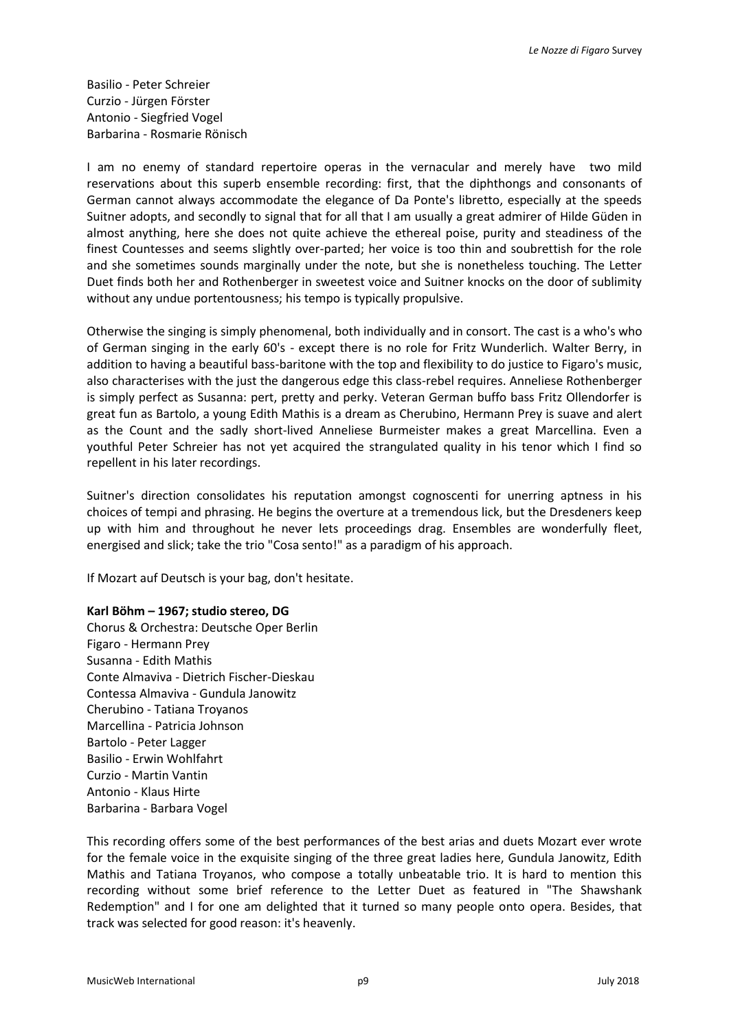Basilio - Peter Schreier Curzio - Jürgen Förster Antonio - Siegfried Vogel Barbarina - Rosmarie Rönisch

I am no enemy of standard repertoire operas in the vernacular and merely have two mild reservations about this superb ensemble recording: first, that the diphthongs and consonants of German cannot always accommodate the elegance of Da Ponte's libretto, especially at the speeds Suitner adopts, and secondly to signal that for all that I am usually a great admirer of Hilde Güden in almost anything, here she does not quite achieve the ethereal poise, purity and steadiness of the finest Countesses and seems slightly over-parted; her voice is too thin and soubrettish for the role and she sometimes sounds marginally under the note, but she is nonetheless touching. The Letter Duet finds both her and Rothenberger in sweetest voice and Suitner knocks on the door of sublimity without any undue portentousness; his tempo is typically propulsive.

Otherwise the singing is simply phenomenal, both individually and in consort. The cast is a who's who of German singing in the early 60's - except there is no role for Fritz Wunderlich. Walter Berry, in addition to having a beautiful bass-baritone with the top and flexibility to do justice to Figaro's music, also characterises with the just the dangerous edge this class-rebel requires. Anneliese Rothenberger is simply perfect as Susanna: pert, pretty and perky. Veteran German buffo bass Fritz Ollendorfer is great fun as Bartolo, a young Edith Mathis is a dream as Cherubino, Hermann Prey is suave and alert as the Count and the sadly short-lived Anneliese Burmeister makes a great Marcellina. Even a youthful Peter Schreier has not yet acquired the strangulated quality in his tenor which I find so repellent in his later recordings.

Suitner's direction consolidates his reputation amongst cognoscenti for unerring aptness in his choices of tempi and phrasing. He begins the overture at a tremendous lick, but the Dresdeners keep up with him and throughout he never lets proceedings drag. Ensembles are wonderfully fleet, energised and slick; take the trio "Cosa sento!" as a paradigm of his approach.

If Mozart auf Deutsch is your bag, don't hesitate.

### **Karl Böhm – 1967; studio stereo, DG**

Chorus & Orchestra: Deutsche Oper Berlin Figaro - Hermann Prey Susanna - Edith Mathis Conte Almaviva - Dietrich Fischer-Dieskau Contessa Almaviva - Gundula Janowitz Cherubino - Tatiana Troyanos Marcellina - Patricia Johnson Bartolo - Peter Lagger Basilio - Erwin Wohlfahrt Curzio - Martin Vantin Antonio - Klaus Hirte Barbarina - Barbara Vogel

This recording offers some of the best performances of the best arias and duets Mozart ever wrote for the female voice in the exquisite singing of the three great ladies here, Gundula Janowitz, Edith Mathis and Tatiana Troyanos, who compose a totally unbeatable trio. It is hard to mention this recording without some brief reference to the Letter Duet as featured in "The Shawshank Redemption" and I for one am delighted that it turned so many people onto opera. Besides, that track was selected for good reason: it's heavenly.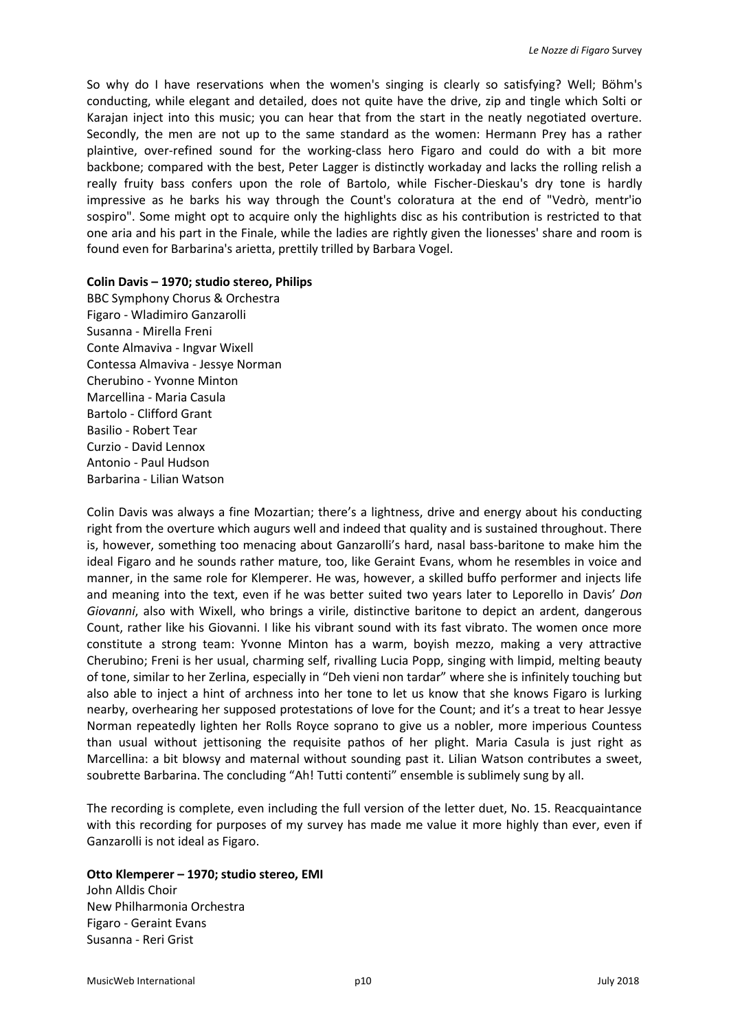So why do I have reservations when the women's singing is clearly so satisfying? Well; Böhm's conducting, while elegant and detailed, does not quite have the drive, zip and tingle which Solti or Karajan inject into this music; you can hear that from the start in the neatly negotiated overture. Secondly, the men are not up to the same standard as the women: Hermann Prey has a rather plaintive, over-refined sound for the working-class hero Figaro and could do with a bit more backbone; compared with the best, Peter Lagger is distinctly workaday and lacks the rolling relish a really fruity bass confers upon the role of Bartolo, while Fischer-Dieskau's dry tone is hardly impressive as he barks his way through the Count's coloratura at the end of "Vedrò, mentr'io sospiro". Some might opt to acquire only the highlights disc as his contribution is restricted to that one aria and his part in the Finale, while the ladies are rightly given the lionesses' share and room is found even for Barbarina's arietta, prettily trilled by Barbara Vogel.

#### **Colin Davis – 1970; studio stereo, Philips**

BBC Symphony Chorus & Orchestra Figaro - Wladimiro Ganzarolli Susanna - Mirella Freni Conte Almaviva - Ingvar Wixell Contessa Almaviva - Jessye Norman Cherubino - Yvonne Minton Marcellina - Maria Casula Bartolo - Clifford Grant Basilio - Robert Tear Curzio - David Lennox Antonio - Paul Hudson Barbarina - Lilian Watson

Colin Davis was always a fine Mozartian; there's a lightness, drive and energy about his conducting right from the overture which augurs well and indeed that quality and is sustained throughout. There is, however, something too menacing about Ganzarolli's hard, nasal bass-baritone to make him the ideal Figaro and he sounds rather mature, too, like Geraint Evans, whom he resembles in voice and manner, in the same role for Klemperer. He was, however, a skilled buffo performer and injects life and meaning into the text, even if he was better suited two years later to Leporello in Davis' *Don Giovanni*, also with Wixell, who brings a virile, distinctive baritone to depict an ardent, dangerous Count, rather like his Giovanni. I like his vibrant sound with its fast vibrato. The women once more constitute a strong team: Yvonne Minton has a warm, boyish mezzo, making a very attractive Cherubino; Freni is her usual, charming self, rivalling Lucia Popp, singing with limpid, melting beauty of tone, similar to her Zerlina, especially in "Deh vieni non tardar" where she is infinitely touching but also able to inject a hint of archness into her tone to let us know that she knows Figaro is lurking nearby, overhearing her supposed protestations of love for the Count; and it's a treat to hear Jessye Norman repeatedly lighten her Rolls Royce soprano to give us a nobler, more imperious Countess than usual without jettisoning the requisite pathos of her plight. Maria Casula is just right as Marcellina: a bit blowsy and maternal without sounding past it. Lilian Watson contributes a sweet, soubrette Barbarina. The concluding "Ah! Tutti contenti" ensemble is sublimely sung by all.

The recording is complete, even including the full version of the letter duet, No. 15. Reacquaintance with this recording for purposes of my survey has made me value it more highly than ever, even if Ganzarolli is not ideal as Figaro.

#### **Otto Klemperer – 1970; studio stereo, EMI**

John Alldis Choir New Philharmonia Orchestra Figaro - Geraint Evans Susanna - Reri Grist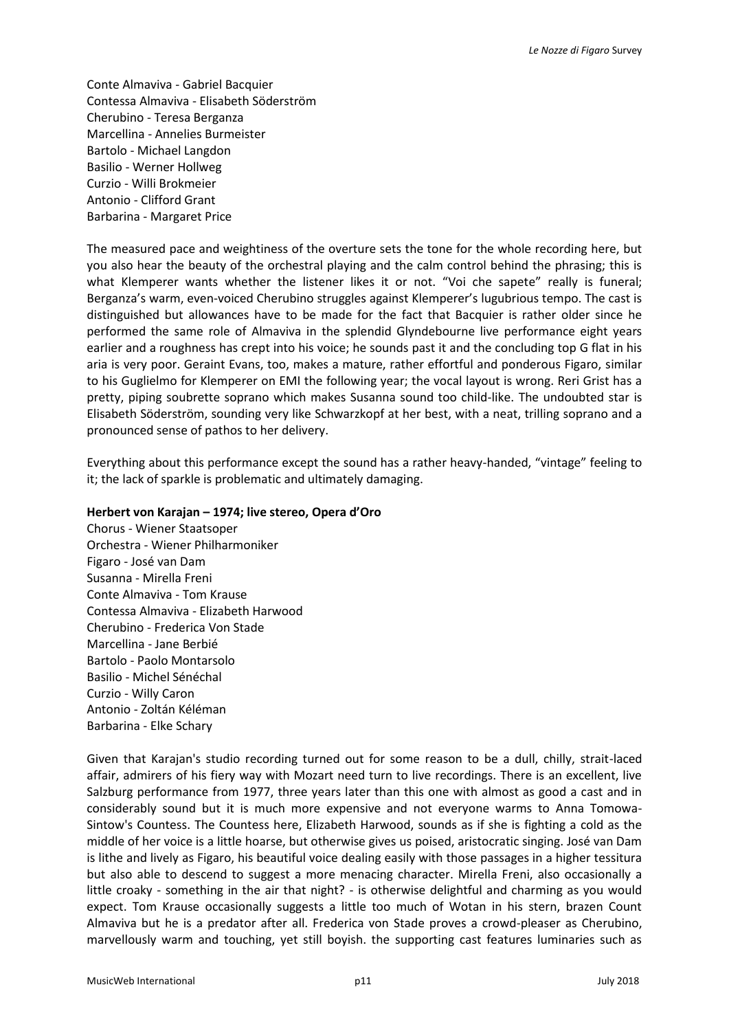Conte Almaviva - Gabriel Bacquier Contessa Almaviva - Elisabeth Söderström Cherubino - Teresa Berganza Marcellina - Annelies Burmeister Bartolo - Michael Langdon Basilio - Werner Hollweg Curzio - Willi Brokmeier Antonio - Clifford Grant Barbarina - Margaret Price

The measured pace and weightiness of the overture sets the tone for the whole recording here, but you also hear the beauty of the orchestral playing and the calm control behind the phrasing; this is what Klemperer wants whether the listener likes it or not. "Voi che sapete" really is funeral; Berganza's warm, even-voiced Cherubino struggles against Klemperer's lugubrious tempo. The cast is distinguished but allowances have to be made for the fact that Bacquier is rather older since he performed the same role of Almaviva in the splendid Glyndebourne live performance eight years earlier and a roughness has crept into his voice; he sounds past it and the concluding top G flat in his aria is very poor. Geraint Evans, too, makes a mature, rather effortful and ponderous Figaro, similar to his Guglielmo for Klemperer on EMI the following year; the vocal layout is wrong. Reri Grist has a pretty, piping soubrette soprano which makes Susanna sound too child-like. The undoubted star is Elisabeth Söderström, sounding very like Schwarzkopf at her best, with a neat, trilling soprano and a pronounced sense of pathos to her delivery.

Everything about this performance except the sound has a rather heavy-handed, "vintage" feeling to it; the lack of sparkle is problematic and ultimately damaging.

#### **Herbert von Karajan – 1974; live stereo, Opera d'Oro**

Chorus - Wiener Staatsoper Orchestra - Wiener Philharmoniker Figaro - José van Dam Susanna - Mirella Freni Conte Almaviva - Tom Krause Contessa Almaviva - Elizabeth Harwood Cherubino - Frederica Von Stade Marcellina - Jane Berbié Bartolo - Paolo Montarsolo Basilio - Michel Sénéchal Curzio - Willy Caron Antonio - Zoltán Kéléman Barbarina - Elke Schary

Given that Karajan's studio recording turned out for some reason to be a dull, chilly, strait-laced affair, admirers of his fiery way with Mozart need turn to live recordings. There is an excellent, live Salzburg performance from 1977, three years later than this one with almost as good a cast and in considerably sound but it is much more expensive and not everyone warms to Anna Tomowa-Sintow's Countess. The Countess here, Elizabeth Harwood, sounds as if she is fighting a cold as the middle of her voice is a little hoarse, but otherwise gives us poised, aristocratic singing. José van Dam is lithe and lively as Figaro, his beautiful voice dealing easily with those passages in a higher tessitura but also able to descend to suggest a more menacing character. Mirella Freni, also occasionally a little croaky - something in the air that night? - is otherwise delightful and charming as you would expect. Tom Krause occasionally suggests a little too much of Wotan in his stern, brazen Count Almaviva but he is a predator after all. Frederica von Stade proves a crowd-pleaser as Cherubino, marvellously warm and touching, yet still boyish. the supporting cast features luminaries such as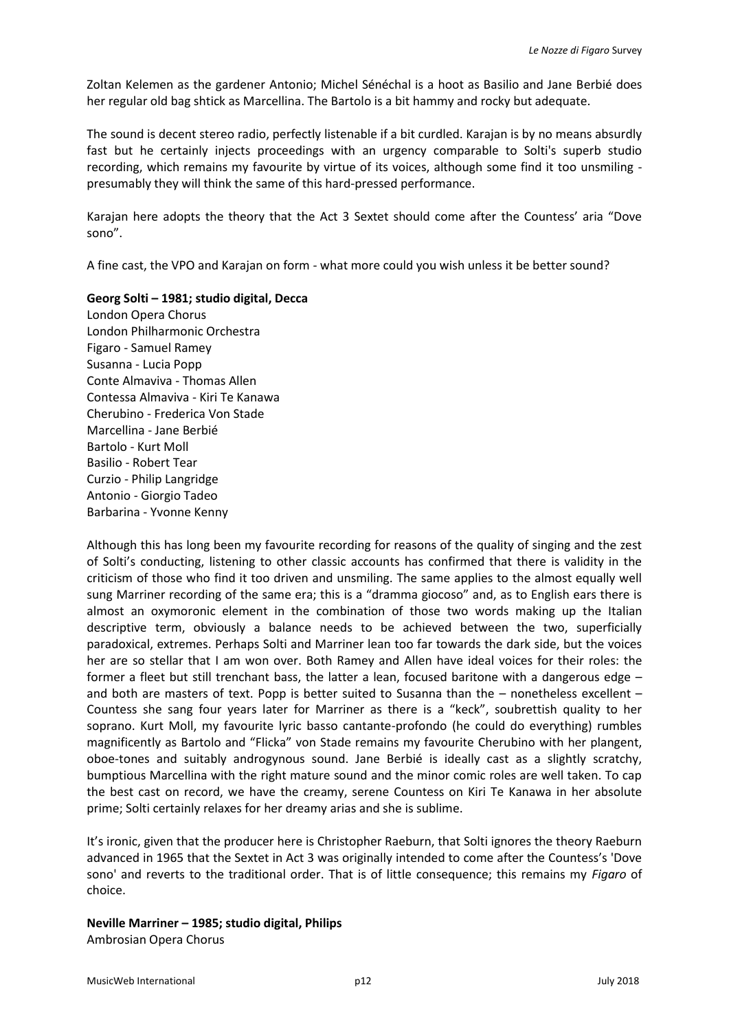Zoltan Kelemen as the gardener Antonio; Michel Sénéchal is a hoot as Basilio and Jane Berbié does her regular old bag shtick as Marcellina. The Bartolo is a bit hammy and rocky but adequate.

The sound is decent stereo radio, perfectly listenable if a bit curdled. Karajan is by no means absurdly fast but he certainly injects proceedings with an urgency comparable to Solti's superb studio recording, which remains my favourite by virtue of its voices, although some find it too unsmiling presumably they will think the same of this hard-pressed performance.

Karajan here adopts the theory that the Act 3 Sextet should come after the Countess' aria "Dove sono".

A fine cast, the VPO and Karajan on form - what more could you wish unless it be better sound?

**Georg Solti – 1981; studio digital, Decca**

London Opera Chorus London Philharmonic Orchestra Figaro - Samuel Ramey Susanna - Lucia Popp Conte Almaviva - Thomas Allen Contessa Almaviva - Kiri Te Kanawa Cherubino - Frederica Von Stade Marcellina - Jane Berbié Bartolo - Kurt Moll Basilio - Robert Tear Curzio - Philip Langridge Antonio - Giorgio Tadeo Barbarina - Yvonne Kenny

Although this has long been my favourite recording for reasons of the quality of singing and the zest of Solti's conducting, listening to other classic accounts has confirmed that there is validity in the criticism of those who find it too driven and unsmiling. The same applies to the almost equally well sung Marriner recording of the same era; this is a "dramma giocoso" and, as to English ears there is almost an oxymoronic element in the combination of those two words making up the Italian descriptive term, obviously a balance needs to be achieved between the two, superficially paradoxical, extremes. Perhaps Solti and Marriner lean too far towards the dark side, but the voices her are so stellar that I am won over. Both Ramey and Allen have ideal voices for their roles: the former a fleet but still trenchant bass, the latter a lean, focused baritone with a dangerous edge – and both are masters of text. Popp is better suited to Susanna than the – nonetheless excellent – Countess she sang four years later for Marriner as there is a "keck", soubrettish quality to her soprano. Kurt Moll, my favourite lyric basso cantante-profondo (he could do everything) rumbles magnificently as Bartolo and "Flicka" von Stade remains my favourite Cherubino with her plangent, oboe-tones and suitably androgynous sound. Jane Berbié is ideally cast as a slightly scratchy, bumptious Marcellina with the right mature sound and the minor comic roles are well taken. To cap the best cast on record, we have the creamy, serene Countess on Kiri Te Kanawa in her absolute prime; Solti certainly relaxes for her dreamy arias and she is sublime.

It's ironic, given that the producer here is Christopher Raeburn, that Solti ignores the theory Raeburn advanced in 1965 that the Sextet in Act 3 was originally intended to come after the Countess's 'Dove sono' and reverts to the traditional order. That is of little consequence; this remains my *Figaro* of choice.

**Neville Marriner – 1985; studio digital, Philips** Ambrosian Opera Chorus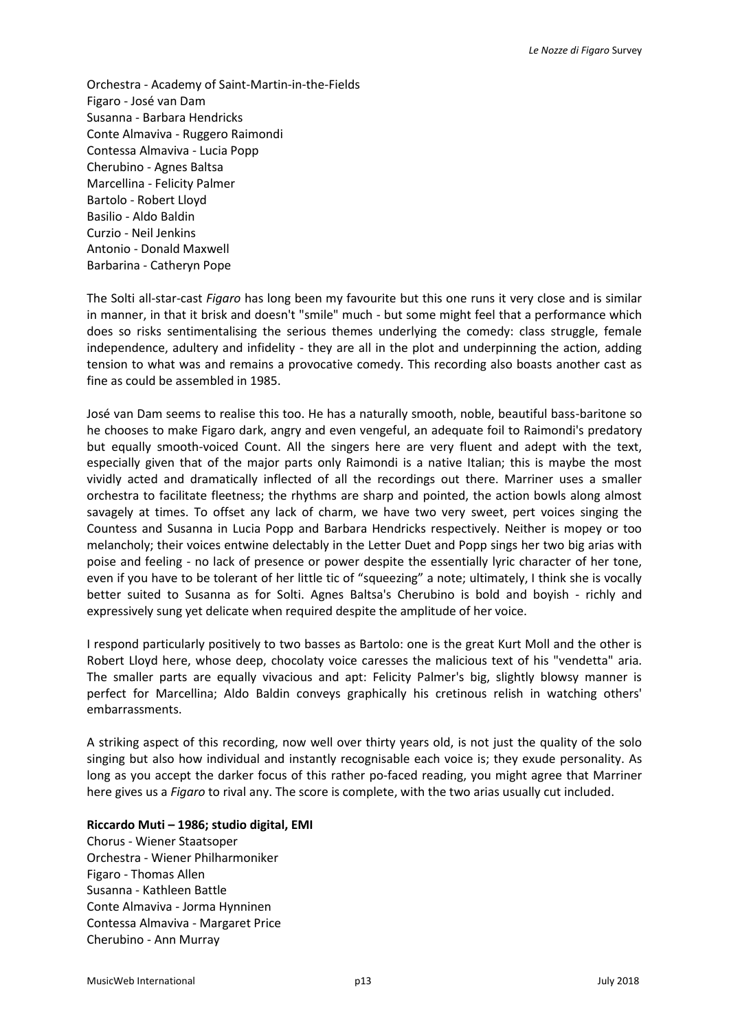Orchestra - Academy of Saint-Martin-in-the-Fields Figaro - José van Dam Susanna - Barbara Hendricks Conte Almaviva - Ruggero Raimondi Contessa Almaviva - Lucia Popp Cherubino - Agnes Baltsa Marcellina - Felicity Palmer Bartolo - Robert Lloyd Basilio - Aldo Baldin Curzio - Neil Jenkins Antonio - Donald Maxwell Barbarina - Catheryn Pope

The Solti all-star-cast *Figaro* has long been my favourite but this one runs it very close and is similar in manner, in that it brisk and doesn't "smile" much - but some might feel that a performance which does so risks sentimentalising the serious themes underlying the comedy: class struggle, female independence, adultery and infidelity - they are all in the plot and underpinning the action, adding tension to what was and remains a provocative comedy. This recording also boasts another cast as fine as could be assembled in 1985.

José van Dam seems to realise this too. He has a naturally smooth, noble, beautiful bass-baritone so he chooses to make Figaro dark, angry and even vengeful, an adequate foil to Raimondi's predatory but equally smooth-voiced Count. All the singers here are very fluent and adept with the text, especially given that of the major parts only Raimondi is a native Italian; this is maybe the most vividly acted and dramatically inflected of all the recordings out there. Marriner uses a smaller orchestra to facilitate fleetness; the rhythms are sharp and pointed, the action bowls along almost savagely at times. To offset any lack of charm, we have two very sweet, pert voices singing the Countess and Susanna in Lucia Popp and Barbara Hendricks respectively. Neither is mopey or too melancholy; their voices entwine delectably in the Letter Duet and Popp sings her two big arias with poise and feeling - no lack of presence or power despite the essentially lyric character of her tone, even if you have to be tolerant of her little tic of "squeezing" a note; ultimately, I think she is vocally better suited to Susanna as for Solti. Agnes Baltsa's Cherubino is bold and boyish - richly and expressively sung yet delicate when required despite the amplitude of her voice.

I respond particularly positively to two basses as Bartolo: one is the great Kurt Moll and the other is Robert Lloyd here, whose deep, chocolaty voice caresses the malicious text of his "vendetta" aria. The smaller parts are equally vivacious and apt: Felicity Palmer's big, slightly blowsy manner is perfect for Marcellina; Aldo Baldin conveys graphically his cretinous relish in watching others' embarrassments.

A striking aspect of this recording, now well over thirty years old, is not just the quality of the solo singing but also how individual and instantly recognisable each voice is; they exude personality. As long as you accept the darker focus of this rather po-faced reading, you might agree that Marriner here gives us a *Figaro* to rival any. The score is complete, with the two arias usually cut included.

### **Riccardo Muti – 1986; studio digital, EMI**

Chorus - Wiener Staatsoper Orchestra - Wiener Philharmoniker Figaro - Thomas Allen Susanna - Kathleen Battle Conte Almaviva - Jorma Hynninen Contessa Almaviva - Margaret Price Cherubino - Ann Murray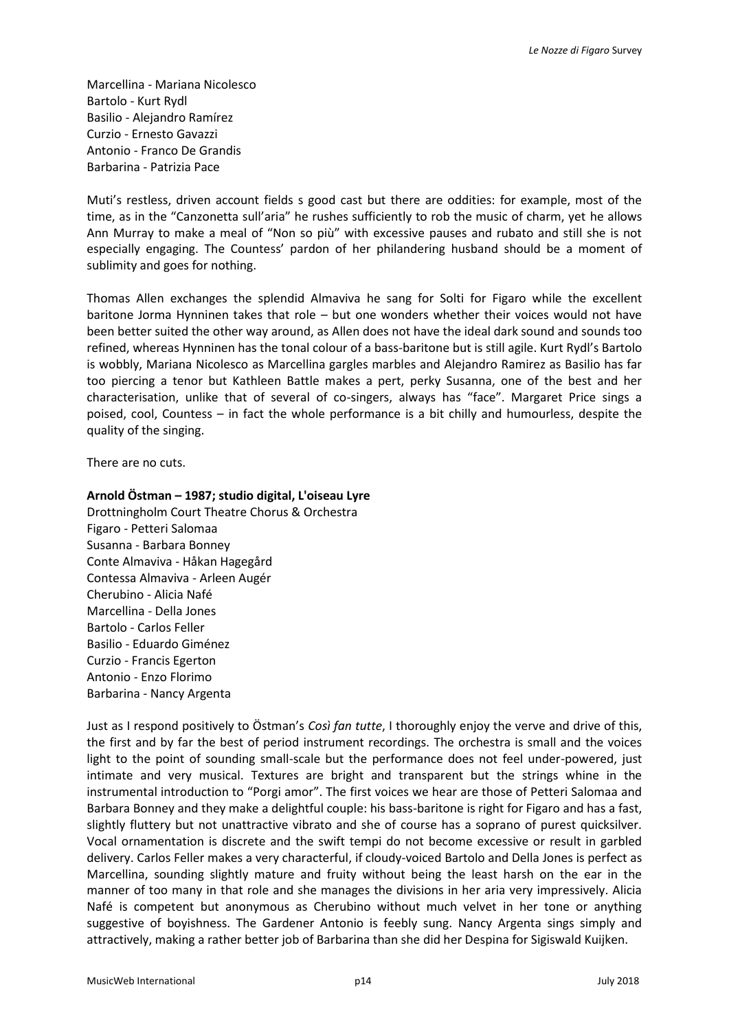Marcellina - Mariana Nicolesco Bartolo - Kurt Rydl Basilio - Alejandro Ramírez Curzio - Ernesto Gavazzi Antonio - Franco De Grandis Barbarina - Patrizia Pace

Muti's restless, driven account fields s good cast but there are oddities: for example, most of the time, as in the "Canzonetta sull'aria" he rushes sufficiently to rob the music of charm, yet he allows Ann Murray to make a meal of "Non so più" with excessive pauses and rubato and still she is not especially engaging. The Countess' pardon of her philandering husband should be a moment of sublimity and goes for nothing.

Thomas Allen exchanges the splendid Almaviva he sang for Solti for Figaro while the excellent baritone Jorma Hynninen takes that role – but one wonders whether their voices would not have been better suited the other way around, as Allen does not have the ideal dark sound and sounds too refined, whereas Hynninen has the tonal colour of a bass-baritone but is still agile. Kurt Rydl's Bartolo is wobbly, Mariana Nicolesco as Marcellina gargles marbles and Alejandro Ramirez as Basilio has far too piercing a tenor but Kathleen Battle makes a pert, perky Susanna, one of the best and her characterisation, unlike that of several of co-singers, always has "face". Margaret Price sings a poised, cool, Countess – in fact the whole performance is a bit chilly and humourless, despite the quality of the singing.

There are no cuts.

#### **Arnold Östman – 1987; studio digital, L'oiseau Lyre**

Drottningholm Court Theatre Chorus & Orchestra Figaro - Petteri Salomaa Susanna - Barbara Bonney Conte Almaviva - Håkan Hagegård Contessa Almaviva - Arleen Augér Cherubino - Alicia Nafé Marcellina - Della Jones Bartolo - Carlos Feller Basilio - Eduardo Giménez Curzio - Francis Egerton Antonio - Enzo Florimo Barbarina - Nancy Argenta

Just as I respond positively to Östman's *Così fan tutte*, I thoroughly enjoy the verve and drive of this, the first and by far the best of period instrument recordings. The orchestra is small and the voices light to the point of sounding small-scale but the performance does not feel under-powered, just intimate and very musical. Textures are bright and transparent but the strings whine in the instrumental introduction to "Porgi amor". The first voices we hear are those of Petteri Salomaa and Barbara Bonney and they make a delightful couple: his bass-baritone is right for Figaro and has a fast, slightly fluttery but not unattractive vibrato and she of course has a soprano of purest quicksilver. Vocal ornamentation is discrete and the swift tempi do not become excessive or result in garbled delivery. Carlos Feller makes a very characterful, if cloudy-voiced Bartolo and Della Jones is perfect as Marcellina, sounding slightly mature and fruity without being the least harsh on the ear in the manner of too many in that role and she manages the divisions in her aria very impressively. Alicia Nafé is competent but anonymous as Cherubino without much velvet in her tone or anything suggestive of boyishness. The Gardener Antonio is feebly sung. Nancy Argenta sings simply and attractively, making a rather better job of Barbarina than she did her Despina for Sigiswald Kuijken.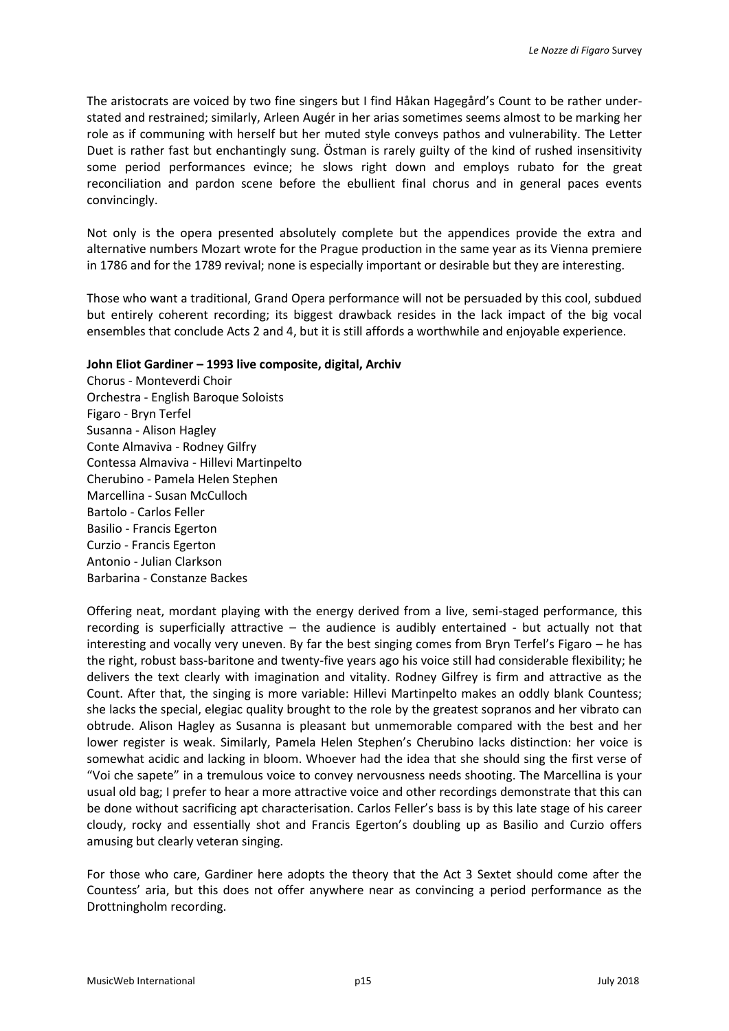The aristocrats are voiced by two fine singers but I find Håkan Hagegård's Count to be rather understated and restrained; similarly, Arleen Augér in her arias sometimes seems almost to be marking her role as if communing with herself but her muted style conveys pathos and vulnerability. The Letter Duet is rather fast but enchantingly sung. Östman is rarely guilty of the kind of rushed insensitivity some period performances evince; he slows right down and employs rubato for the great reconciliation and pardon scene before the ebullient final chorus and in general paces events convincingly.

Not only is the opera presented absolutely complete but the appendices provide the extra and alternative numbers Mozart wrote for the Prague production in the same year as its Vienna premiere in 1786 and for the 1789 revival; none is especially important or desirable but they are interesting.

Those who want a traditional, Grand Opera performance will not be persuaded by this cool, subdued but entirely coherent recording; its biggest drawback resides in the lack impact of the big vocal ensembles that conclude Acts 2 and 4, but it is still affords a worthwhile and enjoyable experience.

### **John Eliot Gardiner – 1993 live composite, digital, Archiv**

Chorus - Monteverdi Choir Orchestra - English Baroque Soloists Figaro - Bryn Terfel Susanna - Alison Hagley Conte Almaviva - Rodney Gilfry Contessa Almaviva - Hillevi Martinpelto Cherubino - Pamela Helen Stephen Marcellina - Susan McCulloch Bartolo - Carlos Feller Basilio - Francis Egerton Curzio - Francis Egerton Antonio - Julian Clarkson Barbarina - Constanze Backes

Offering neat, mordant playing with the energy derived from a live, semi-staged performance, this recording is superficially attractive – the audience is audibly entertained - but actually not that interesting and vocally very uneven. By far the best singing comes from Bryn Terfel's Figaro – he has the right, robust bass-baritone and twenty-five years ago his voice still had considerable flexibility; he delivers the text clearly with imagination and vitality. Rodney Gilfrey is firm and attractive as the Count. After that, the singing is more variable: Hillevi Martinpelto makes an oddly blank Countess; she lacks the special, elegiac quality brought to the role by the greatest sopranos and her vibrato can obtrude. Alison Hagley as Susanna is pleasant but unmemorable compared with the best and her lower register is weak. Similarly, Pamela Helen Stephen's Cherubino lacks distinction: her voice is somewhat acidic and lacking in bloom. Whoever had the idea that she should sing the first verse of "Voi che sapete" in a tremulous voice to convey nervousness needs shooting. The Marcellina is your usual old bag; I prefer to hear a more attractive voice and other recordings demonstrate that this can be done without sacrificing apt characterisation. Carlos Feller's bass is by this late stage of his career cloudy, rocky and essentially shot and Francis Egerton's doubling up as Basilio and Curzio offers amusing but clearly veteran singing.

For those who care, Gardiner here adopts the theory that the Act 3 Sextet should come after the Countess' aria, but this does not offer anywhere near as convincing a period performance as the Drottningholm recording.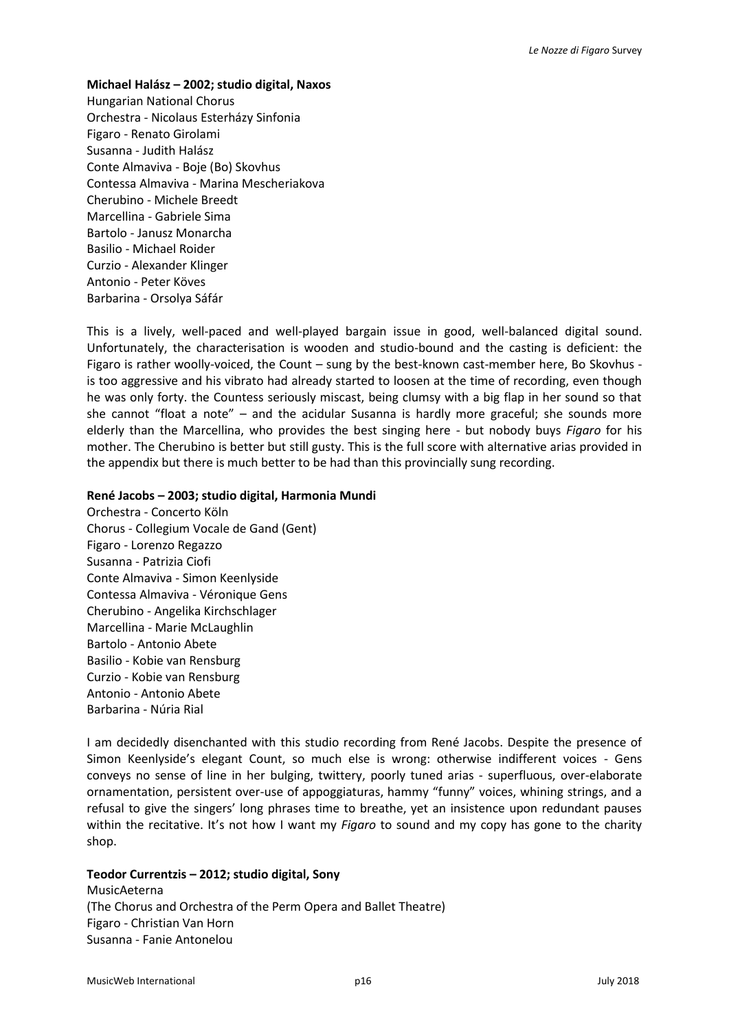#### **Michael Halász – 2002; studio digital, Naxos**

Hungarian National Chorus Orchestra - Nicolaus Esterházy Sinfonia Figaro - Renato Girolami Susanna - Judith Halász Conte Almaviva - Boje (Bo) Skovhus Contessa Almaviva - Marina Mescheriakova Cherubino - Michele Breedt Marcellina - Gabriele Sima Bartolo - Janusz Monarcha Basilio - Michael Roider Curzio - Alexander Klinger Antonio - Peter Köves Barbarina - Orsolya Sáfár

This is a lively, well-paced and well-played bargain issue in good, well-balanced digital sound. Unfortunately, the characterisation is wooden and studio-bound and the casting is deficient: the Figaro is rather woolly-voiced, the Count – sung by the best-known cast-member here, Bo Skovhus is too aggressive and his vibrato had already started to loosen at the time of recording, even though he was only forty. the Countess seriously miscast, being clumsy with a big flap in her sound so that she cannot "float a note" – and the acidular Susanna is hardly more graceful; she sounds more elderly than the Marcellina, who provides the best singing here - but nobody buys *Figaro* for his mother. The Cherubino is better but still gusty. This is the full score with alternative arias provided in the appendix but there is much better to be had than this provincially sung recording.

#### **René Jacobs – 2003; studio digital, Harmonia Mundi**

Orchestra - Concerto Köln Chorus - Collegium Vocale de Gand (Gent) Figaro - Lorenzo Regazzo Susanna - Patrizia Ciofi Conte Almaviva - Simon Keenlyside Contessa Almaviva - Véronique Gens Cherubino - Angelika Kirchschlager Marcellina - Marie McLaughlin Bartolo - Antonio Abete Basilio - Kobie van Rensburg Curzio - Kobie van Rensburg Antonio - Antonio Abete Barbarina - Núria Rial

I am decidedly disenchanted with this studio recording from René Jacobs. Despite the presence of Simon Keenlyside's elegant Count, so much else is wrong: otherwise indifferent voices - Gens conveys no sense of line in her bulging, twittery, poorly tuned arias - superfluous, over-elaborate ornamentation, persistent over-use of appoggiaturas, hammy "funny" voices, whining strings, and a refusal to give the singers' long phrases time to breathe, yet an insistence upon redundant pauses within the recitative. It's not how I want my *Figaro* to sound and my copy has gone to the charity shop.

### **Teodor Currentzis – 2012; studio digital, Sony**

MusicAeterna (The Chorus and Orchestra of the Perm Opera and Ballet Theatre) Figaro - Christian Van Horn Susanna - Fanie Antonelou